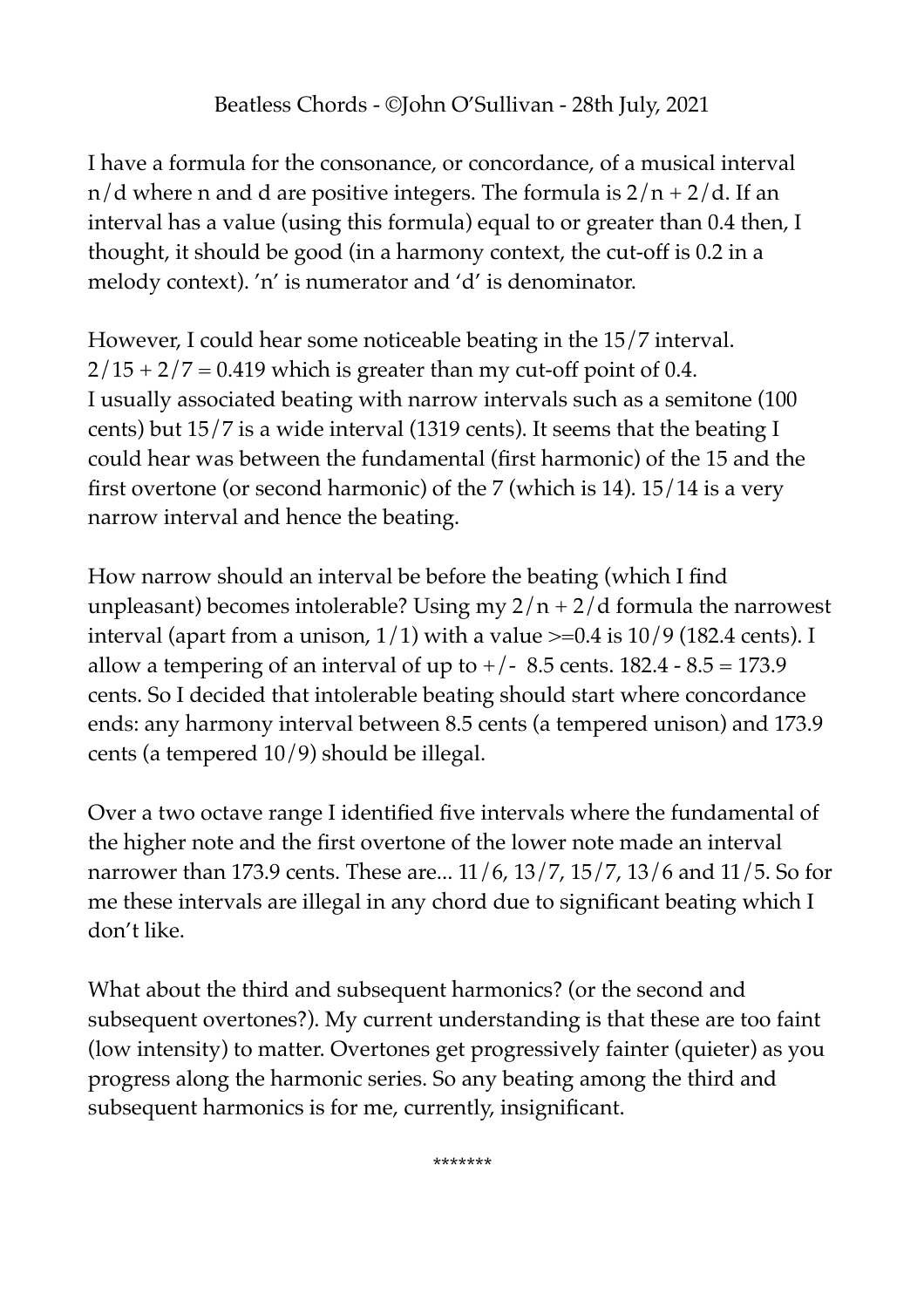I have a formula for the consonance, or concordance, of a musical interval  $n/d$  where n and d are positive integers. The formula is  $2/n + 2/d$ . If an interval has a value (using this formula) equal to or greater than 0.4 then, I thought, it should be good (in a harmony context, the cut-off is 0.2 in a melody context). 'n' is numerator and 'd' is denominator.

However, I could hear some noticeable beating in the 15/7 interval.  $2/15 + 2/7 = 0.419$  which is greater than my cut-off point of 0.4. I usually associated beating with narrow intervals such as a semitone (100 cents) but 15/7 is a wide interval (1319 cents). It seems that the beating I could hear was between the fundamental (first harmonic) of the 15 and the first overtone (or second harmonic) of the 7 (which is 14). 15/14 is a very narrow interval and hence the beating.

How narrow should an interval be before the beating (which I find unpleasant) becomes intolerable? Using my  $2/n + 2/d$  formula the narrowest interval (apart from a unison,  $1/1$ ) with a value  $\geq 0.4$  is  $10/9$  (182.4 cents). I allow a tempering of an interval of up to  $+/-$  8.5 cents. 182.4 - 8.5 = 173.9 cents. So I decided that intolerable beating should start where concordance ends: any harmony interval between 8.5 cents (a tempered unison) and 173.9 cents (a tempered 10/9) should be illegal.

Over a two octave range I identified five intervals where the fundamental of the higher note and the first overtone of the lower note made an interval narrower than 173.9 cents. These are... 11/6, 13/7, 15/7, 13/6 and 11/5. So for me these intervals are illegal in any chord due to significant beating which I don't like.

What about the third and subsequent harmonics? (or the second and subsequent overtones?). My current understanding is that these are too faint (low intensity) to matter. Overtones get progressively fainter (quieter) as you progress along the harmonic series. So any beating among the third and subsequent harmonics is for me, currently, insignificant.

\*\*\*\*\*\*\*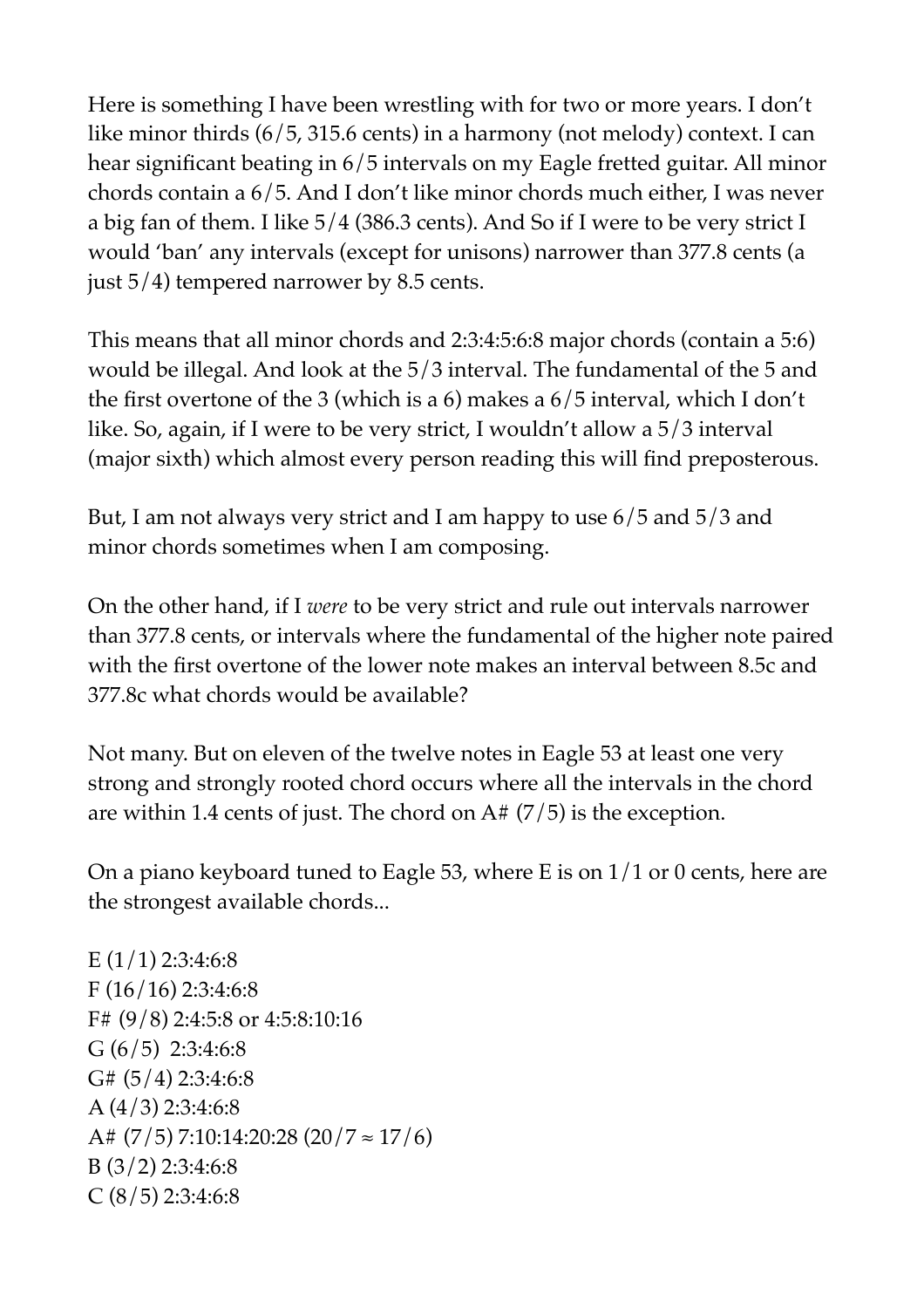Here is something I have been wrestling with for two or more years. I don't like minor thirds (6/5, 315.6 cents) in a harmony (not melody) context. I can hear significant beating in 6/5 intervals on my Eagle fretted guitar. All minor chords contain a 6/5. And I don't like minor chords much either, I was never a big fan of them. I like 5/4 (386.3 cents). And So if I were to be very strict I would 'ban' any intervals (except for unisons) narrower than 377.8 cents (a just 5/4) tempered narrower by 8.5 cents.

This means that all minor chords and 2:3:4:5:6:8 major chords (contain a 5:6) would be illegal. And look at the 5/3 interval. The fundamental of the 5 and the first overtone of the 3 (which is a 6) makes a 6/5 interval, which I don't like. So, again, if I were to be very strict, I wouldn't allow a 5/3 interval (major sixth) which almost every person reading this will find preposterous.

But, I am not always very strict and I am happy to use 6/5 and 5/3 and minor chords sometimes when I am composing.

On the other hand, if I *were* to be very strict and rule out intervals narrower than 377.8 cents, or intervals where the fundamental of the higher note paired with the first overtone of the lower note makes an interval between 8.5c and 377.8c what chords would be available?

Not many. But on eleven of the twelve notes in Eagle 53 at least one very strong and strongly rooted chord occurs where all the intervals in the chord are within 1.4 cents of just. The chord on  $A# (7/5)$  is the exception.

On a piano keyboard tuned to Eagle 53, where E is on 1/1 or 0 cents, here are the strongest available chords...

 $E(1/1)$  2:3:4:6:8  $F(16/16)$  2:3:4:6:8 F# (9/8) 2:4:5:8 or 4:5:8:10:16 G (6/5) 2:3:4:6:8 G#  $(5/4)$  2:3:4:6:8 A (4/3) 2:3:4:6:8 A#  $(7/5)$  7:10:14:20:28  $(20/7 \approx 17/6)$ B (3/2) 2:3:4:6:8  $C (8/5) 2:3:4:6:8$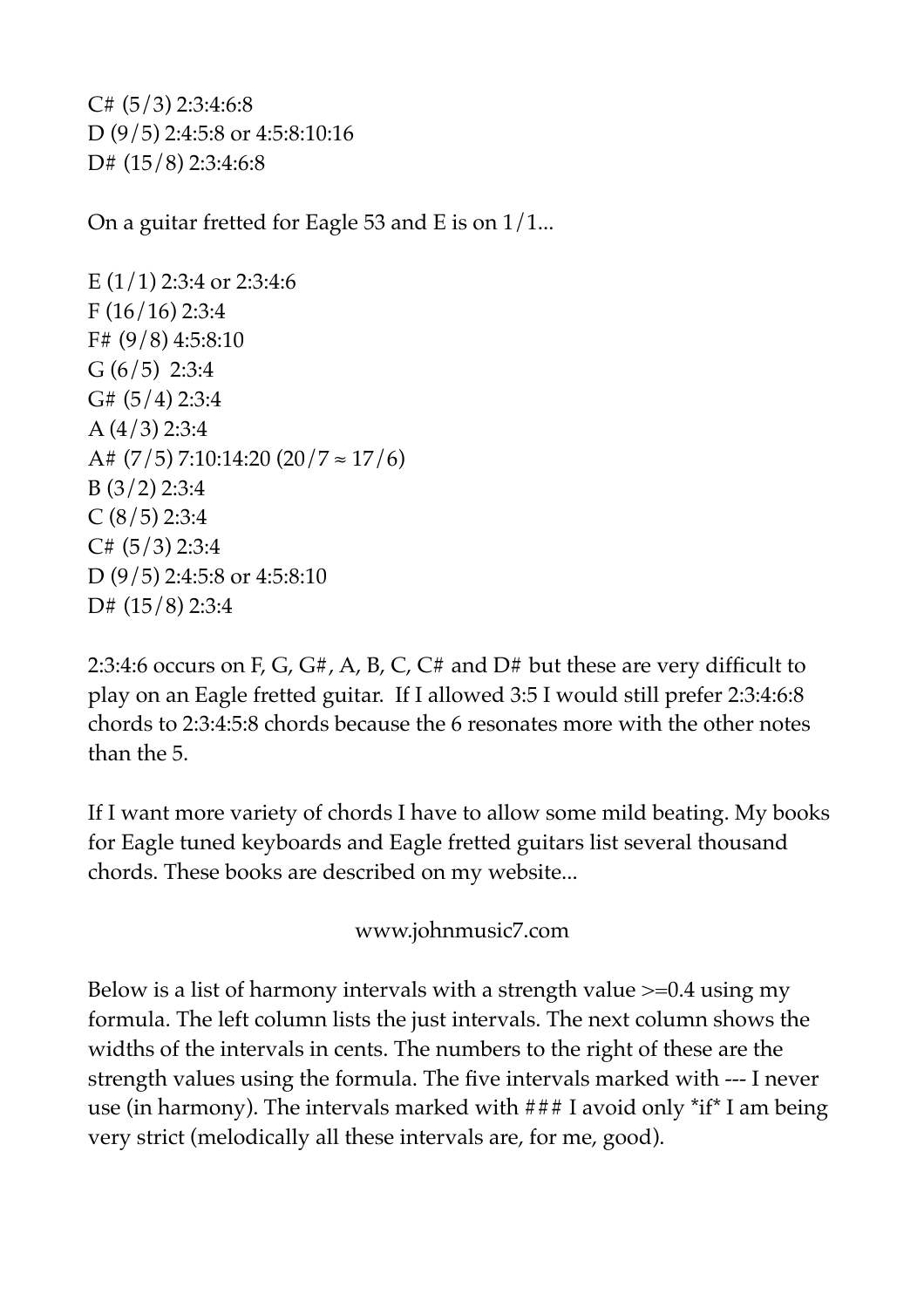$C# (5/3) 2:3:4:6:8$ D (9/5) 2:4:5:8 or 4:5:8:10:16 D# (15/8) 2:3:4:6:8

On a guitar fretted for Eagle 53 and E is on  $1/1...$ 

E  $(1/1)$  2:3:4 or 2:3:4:6  $F(16/16)$  2:3:4 F# (9/8) 4:5:8:10 G  $(6/5)$  2:3:4 G#  $(5/4)$  2:3:4  $A(4/3)$  2:3:4 A#  $(7/5)$  7:10:14:20  $(20/7 \approx 17/6)$ B (3/2) 2:3:4  $C(8/5)$  2:3:4  $C# (5/3) 2:3:4$ D (9/5) 2:4:5:8 or 4:5:8:10 D# (15/8) 2:3:4

2:3:4:6 occurs on F, G, G#, A, B, C, C# and D# but these are very difficult to play on an Eagle fretted guitar. If I allowed 3:5 I would still prefer 2:3:4:6:8 chords to 2:3:4:5:8 chords because the 6 resonates more with the other notes than the 5.

If I want more variety of chords I have to allow some mild beating. My books for Eagle tuned keyboards and Eagle fretted guitars list several thousand chords. These books are described on my website...

www.johnmusic7.com

Below is a list of harmony intervals with a strength value  $\geq=0.4$  using my formula. The left column lists the just intervals. The next column shows the widths of the intervals in cents. The numbers to the right of these are the strength values using the formula. The five intervals marked with --- I never use (in harmony). The intervals marked with  $\#\#\$  I avoid only \*if\* I am being very strict (melodically all these intervals are, for me, good).